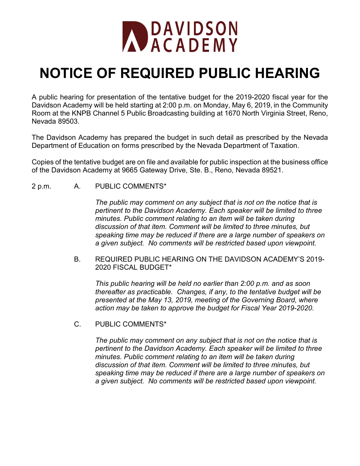

## **NOTICE OF REQUIRED PUBLIC HEARING**

A public hearing for presentation of the tentative budget for the 2019-2020 fiscal year for the Davidson Academy will be held starting at 2:00 p.m. on Monday, May 6, 2019, in the Community Room at the KNPB Channel 5 Public Broadcasting building at 1670 North Virginia Street, Reno, Nevada 89503.

The Davidson Academy has prepared the budget in such detail as prescribed by the Nevada Department of Education on forms prescribed by the Nevada Department of Taxation.

Copies of the tentative budget are on file and available for public inspection at the business office of the Davidson Academy at 9665 Gateway Drive, Ste. B., Reno, Nevada 89521.

## 2 p.m. A. PUBLIC COMMENTS\*

*The public may comment on any subject that is not on the notice that is pertinent to the Davidson Academy. Each speaker will be limited to three minutes. Public comment relating to an item will be taken during discussion of that item. Comment will be limited to three minutes, but speaking time may be reduced if there are a large number of speakers on a given subject. No comments will be restricted based upon viewpoint.*

B. REQUIRED PUBLIC HEARING ON THE DAVIDSON ACADEMY'S 2019- 2020 FISCAL BUDGET\*

*This public hearing will be held no earlier than 2:00 p.m. and as soon thereafter as practicable. Changes, if any, to the tentative budget will be presented at the May 13, 2019, meeting of the Governing Board, where action may be taken to approve the budget for Fiscal Year 2019-2020.* 

C. PUBLIC COMMENTS\*

*The public may comment on any subject that is not on the notice that is pertinent to the Davidson Academy. Each speaker will be limited to three minutes. Public comment relating to an item will be taken during discussion of that item. Comment will be limited to three minutes, but speaking time may be reduced if there are a large number of speakers on a given subject. No comments will be restricted based upon viewpoint.*